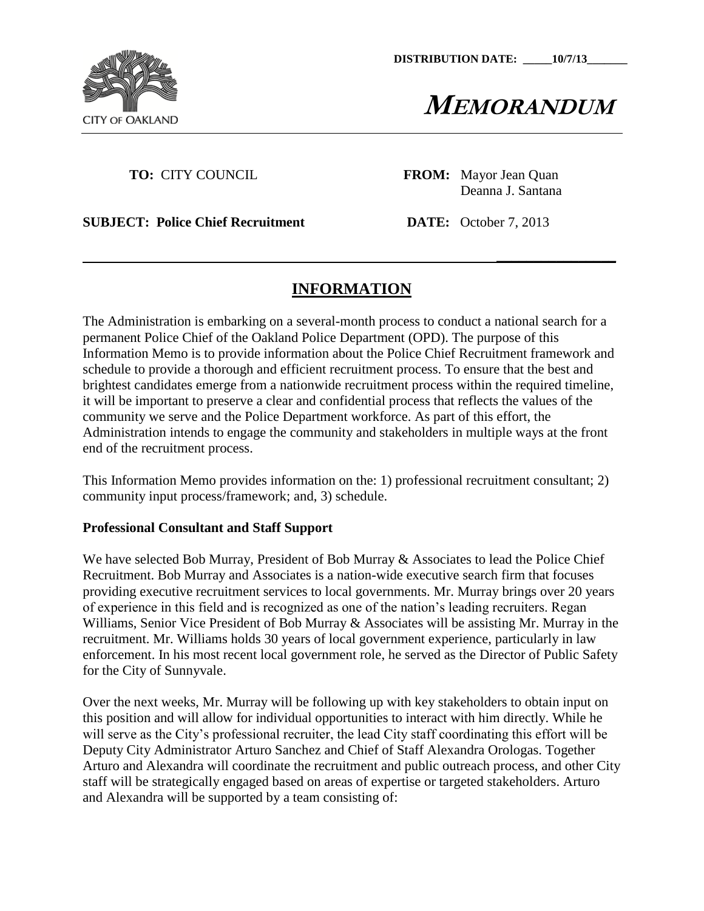

**MEMORANDUM**

**\_\_\_\_\_\_\_\_\_\_\_\_\_\_\_\_**

**TO:** CITY COUNCIL **FROM:** Mayor Jean Quan Deanna J. Santana

**SUBJECT: Police Chief Recruitment DATE:** October 7, 2013

# **INFORMATION**

The Administration is embarking on a several-month process to conduct a national search for a permanent Police Chief of the Oakland Police Department (OPD). The purpose of this Information Memo is to provide information about the Police Chief Recruitment framework and schedule to provide a thorough and efficient recruitment process. To ensure that the best and brightest candidates emerge from a nationwide recruitment process within the required timeline, it will be important to preserve a clear and confidential process that reflects the values of the community we serve and the Police Department workforce. As part of this effort, the Administration intends to engage the community and stakeholders in multiple ways at the front end of the recruitment process.

This Information Memo provides information on the: 1) professional recruitment consultant; 2) community input process/framework; and, 3) schedule.

#### **Professional Consultant and Staff Support**

We have selected Bob Murray, President of Bob Murray & Associates to lead the Police Chief Recruitment. Bob Murray and Associates is a nation-wide executive search firm that focuses providing executive recruitment services to local governments. Mr. Murray brings over 20 years of experience in this field and is recognized as one of the nation's leading recruiters. Regan Williams, Senior Vice President of Bob Murray & Associates will be assisting Mr. Murray in the recruitment. Mr. Williams holds 30 years of local government experience, particularly in law enforcement. In his most recent local government role, he served as the Director of Public Safety for the City of Sunnyvale.

Over the next weeks, Mr. Murray will be following up with key stakeholders to obtain input on this position and will allow for individual opportunities to interact with him directly. While he will serve as the City's professional recruiter, the lead City staff coordinating this effort will be Deputy City Administrator Arturo Sanchez and Chief of Staff Alexandra Orologas. Together Arturo and Alexandra will coordinate the recruitment and public outreach process, and other City staff will be strategically engaged based on areas of expertise or targeted stakeholders. Arturo and Alexandra will be supported by a team consisting of: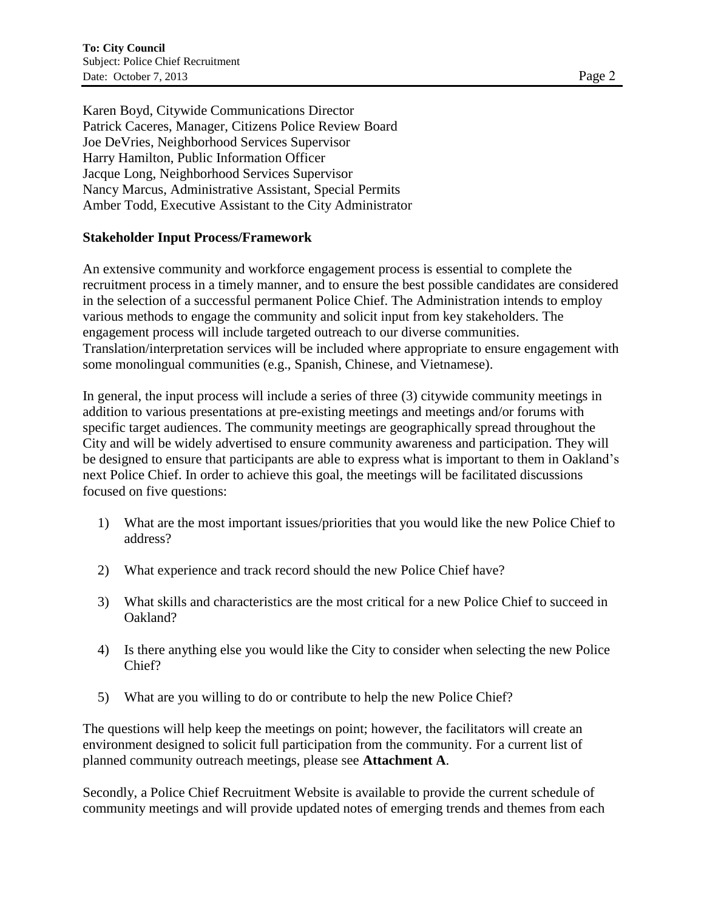Karen Boyd, Citywide Communications Director Patrick Caceres, Manager, Citizens Police Review Board Joe DeVries, Neighborhood Services Supervisor Harry Hamilton, Public Information Officer Jacque Long, Neighborhood Services Supervisor Nancy Marcus, Administrative Assistant, Special Permits Amber Todd, Executive Assistant to the City Administrator

#### **Stakeholder Input Process/Framework**

An extensive community and workforce engagement process is essential to complete the recruitment process in a timely manner, and to ensure the best possible candidates are considered in the selection of a successful permanent Police Chief. The Administration intends to employ various methods to engage the community and solicit input from key stakeholders. The engagement process will include targeted outreach to our diverse communities. Translation/interpretation services will be included where appropriate to ensure engagement with some monolingual communities (e.g., Spanish, Chinese, and Vietnamese).

In general, the input process will include a series of three (3) citywide community meetings in addition to various presentations at pre-existing meetings and meetings and/or forums with specific target audiences. The community meetings are geographically spread throughout the City and will be widely advertised to ensure community awareness and participation. They will be designed to ensure that participants are able to express what is important to them in Oakland's next Police Chief. In order to achieve this goal, the meetings will be facilitated discussions focused on five questions:

- 1) What are the most important issues/priorities that you would like the new Police Chief to address?
- 2) What experience and track record should the new Police Chief have?
- 3) What skills and characteristics are the most critical for a new Police Chief to succeed in Oakland?
- 4) Is there anything else you would like the City to consider when selecting the new Police Chief?
- 5) What are you willing to do or contribute to help the new Police Chief?

The questions will help keep the meetings on point; however, the facilitators will create an environment designed to solicit full participation from the community. For a current list of planned community outreach meetings, please see **Attachment A**.

Secondly, a Police Chief Recruitment Website is available to provide the current schedule of community meetings and will provide updated notes of emerging trends and themes from each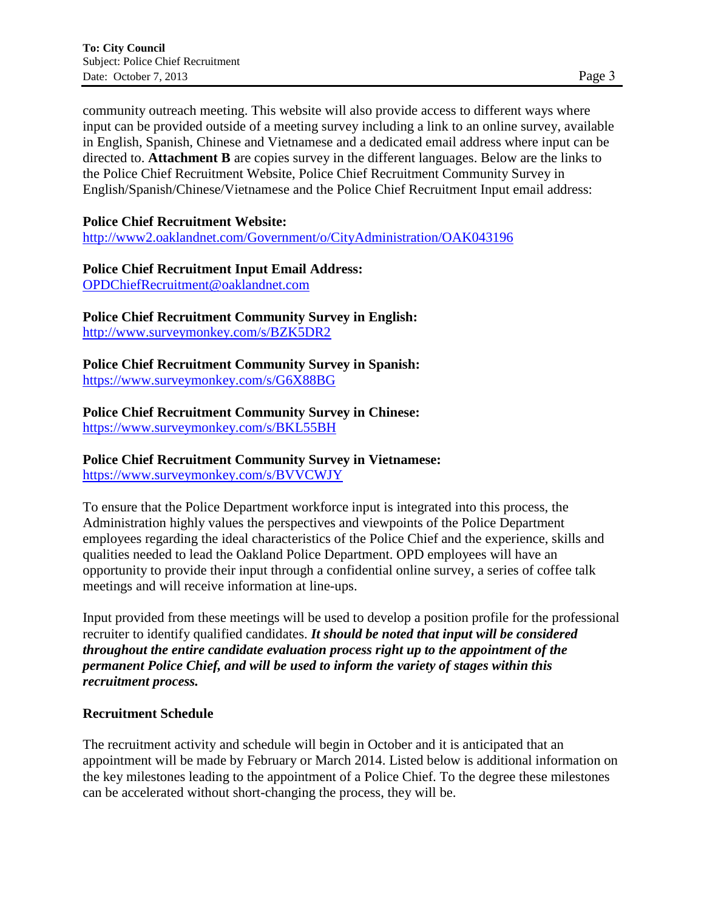community outreach meeting. This website will also provide access to different ways where input can be provided outside of a meeting survey including a link to an online survey, available in English, Spanish, Chinese and Vietnamese and a dedicated email address where input can be directed to. **Attachment B** are copies survey in the different languages. Below are the links to the Police Chief Recruitment Website, Police Chief Recruitment Community Survey in English/Spanish/Chinese/Vietnamese and the Police Chief Recruitment Input email address:

### **Police Chief Recruitment Website:**

<http://www2.oaklandnet.com/Government/o/CityAdministration/OAK043196>

#### **Police Chief Recruitment Input Email Address:**

[OPDChiefRecruitment@oaklandnet.com](mailto:OPDChiefRecruitment@oaklandnet.com)

**Police Chief Recruitment Community Survey in English:** 

<http://www.surveymonkey.com/s/BZK5DR2>

**Police Chief Recruitment Community Survey in Spanish:** <https://www.surveymonkey.com/s/G6X88BG>

## **Police Chief Recruitment Community Survey in Chinese:**

<https://www.surveymonkey.com/s/BKL55BH>

## **Police Chief Recruitment Community Survey in Vietnamese:**

<https://www.surveymonkey.com/s/BVVCWJY>

To ensure that the Police Department workforce input is integrated into this process, the Administration highly values the perspectives and viewpoints of the Police Department employees regarding the ideal characteristics of the Police Chief and the experience, skills and qualities needed to lead the Oakland Police Department. OPD employees will have an opportunity to provide their input through a confidential online survey, a series of coffee talk meetings and will receive information at line-ups.

Input provided from these meetings will be used to develop a position profile for the professional recruiter to identify qualified candidates. *It should be noted that input will be considered throughout the entire candidate evaluation process right up to the appointment of the permanent Police Chief, and will be used to inform the variety of stages within this recruitment process.*

## **Recruitment Schedule**

The recruitment activity and schedule will begin in October and it is anticipated that an appointment will be made by February or March 2014. Listed below is additional information on the key milestones leading to the appointment of a Police Chief. To the degree these milestones can be accelerated without short-changing the process, they will be.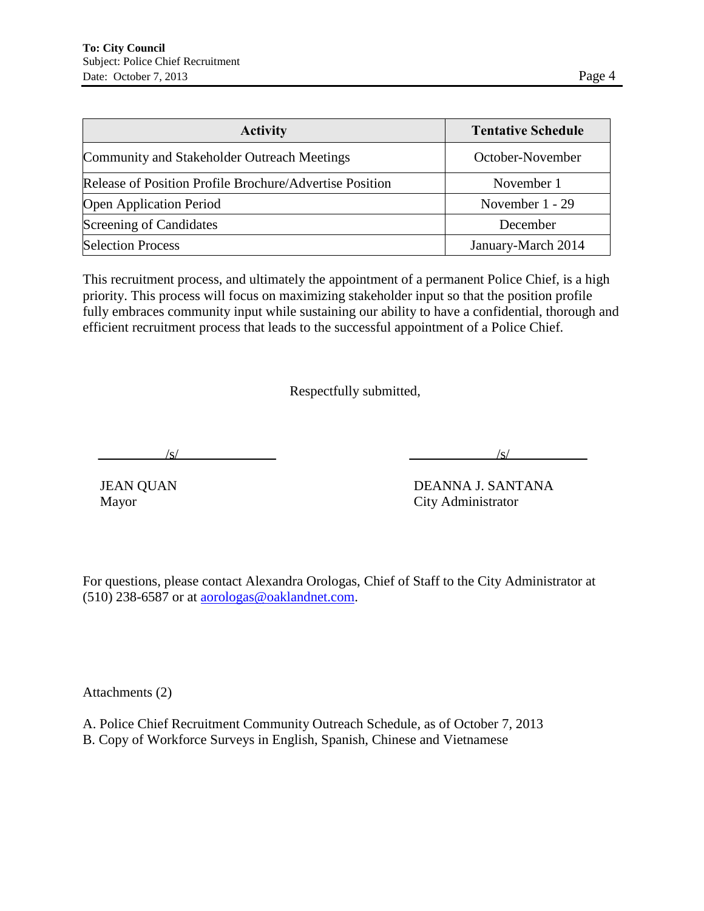| <b>Activity</b>                                                | <b>Tentative Schedule</b> |
|----------------------------------------------------------------|---------------------------|
| <b>Community and Stakeholder Outreach Meetings</b>             | October-November          |
| <b>Release of Position Profile Brochure/Advertise Position</b> | November 1                |
| <b>Open Application Period</b>                                 | November 1 - 29           |
| <b>Screening of Candidates</b>                                 | December                  |
| <b>Selection Process</b>                                       | January-March 2014        |

This recruitment process, and ultimately the appointment of a permanent Police Chief, is a high priority. This process will focus on maximizing stakeholder input so that the position profile fully embraces community input while sustaining our ability to have a confidential, thorough and efficient recruitment process that leads to the successful appointment of a Police Chief.

Respectfully submitted,

 $\frac{1}{s}$  /s/

JEAN QUAN DEANNA J. SANTANA Mayor City Administrator

For questions, please contact Alexandra Orologas, Chief of Staff to the City Administrator at (510) 238-6587 or at [aorologas@oaklandnet.com.](mailto:aorologas@oaklandnet.com)

Attachments (2)

A. Police Chief Recruitment Community Outreach Schedule, as of October 7, 2013

B. Copy of Workforce Surveys in English, Spanish, Chinese and Vietnamese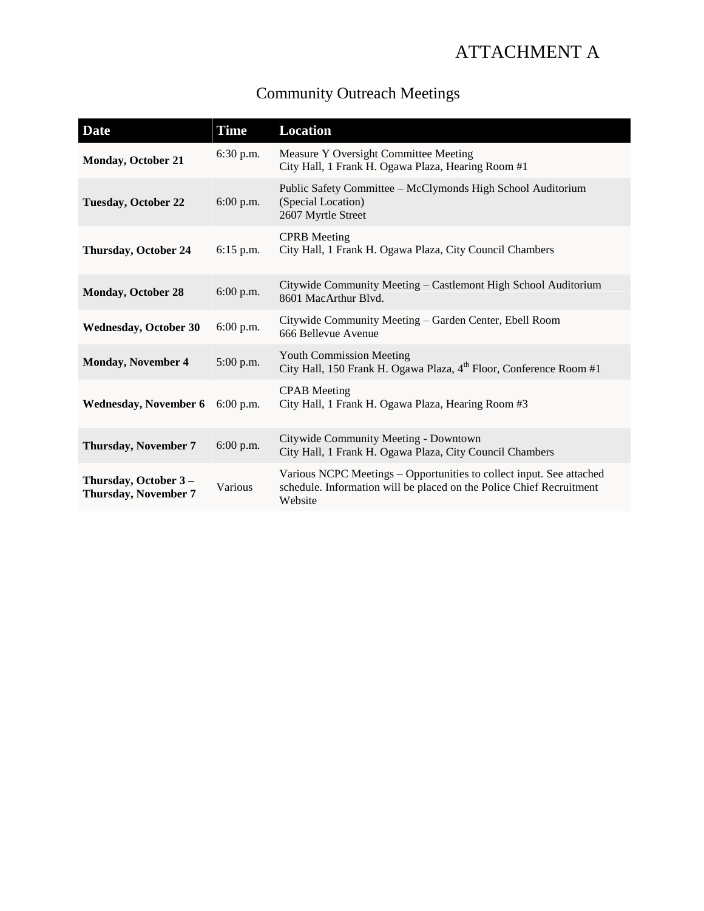# ATTACHMENT A

| <b>Community Outreach Meetings</b> |  |
|------------------------------------|--|
|                                    |  |

| Date                                                 | <b>Time</b> | <b>Location</b>                                                                                                                                         |
|------------------------------------------------------|-------------|---------------------------------------------------------------------------------------------------------------------------------------------------------|
| <b>Monday, October 21</b>                            | 6:30 p.m.   | Measure Y Oversight Committee Meeting<br>City Hall, 1 Frank H. Ogawa Plaza, Hearing Room #1                                                             |
| <b>Tuesday, October 22</b>                           | $6:00$ p.m. | Public Safety Committee - McClymonds High School Auditorium<br>(Special Location)<br>2607 Myrtle Street                                                 |
| <b>Thursday, October 24</b>                          | $6:15$ p.m. | <b>CPRB</b> Meeting<br>City Hall, 1 Frank H. Ogawa Plaza, City Council Chambers                                                                         |
| <b>Monday, October 28</b>                            | $6:00$ p.m. | Citywide Community Meeting – Castlemont High School Auditorium<br>8601 MacArthur Blvd.                                                                  |
| <b>Wednesday, October 30</b>                         | 6:00 p.m.   | Citywide Community Meeting - Garden Center, Ebell Room<br>666 Bellevue Avenue                                                                           |
| <b>Monday, November 4</b>                            | 5:00 p.m.   | <b>Youth Commission Meeting</b><br>City Hall, 150 Frank H. Ogawa Plaza, 4 <sup>th</sup> Floor, Conference Room #1                                       |
| <b>Wednesday, November 6</b>                         | $6:00$ p.m. | <b>CPAB</b> Meeting<br>City Hall, 1 Frank H. Ogawa Plaza, Hearing Room #3                                                                               |
| <b>Thursday, November 7</b>                          | 6:00 p.m.   | Citywide Community Meeting - Downtown<br>City Hall, 1 Frank H. Ogawa Plaza, City Council Chambers                                                       |
| Thursday, October 3 -<br><b>Thursday, November 7</b> | Various     | Various NCPC Meetings - Opportunities to collect input. See attached<br>schedule. Information will be placed on the Police Chief Recruitment<br>Website |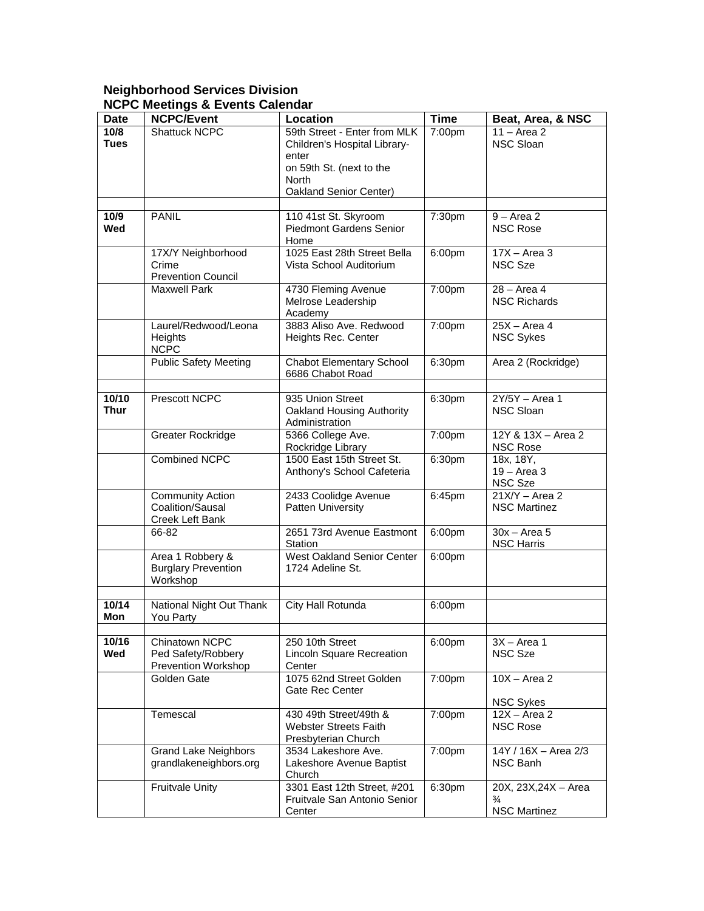#### **Neighborhood Services Division NCPC Meetings & Events Calendar**

| <b>Date</b> | <b>NCPC/Event</b>                           | Location                                               | <b>Time</b> | Beat, Area, & NSC                       |
|-------------|---------------------------------------------|--------------------------------------------------------|-------------|-----------------------------------------|
| 10/8        | Shattuck NCPC                               | 59th Street - Enter from MLK                           | 7:00pm      | $11 - Area2$                            |
| <b>Tues</b> |                                             | Children's Hospital Library-                           |             | NSC Sloan                               |
|             |                                             | enter                                                  |             |                                         |
|             |                                             | on 59th St. (next to the                               |             |                                         |
|             |                                             | <b>North</b>                                           |             |                                         |
|             |                                             | Oakland Senior Center)                                 |             |                                         |
| 10/9        | <b>PANIL</b>                                |                                                        | 7:30pm      | $9 -$ Area 2                            |
| Wed         |                                             | 110 41st St. Skyroom<br><b>Piedmont Gardens Senior</b> |             | <b>NSC Rose</b>                         |
|             |                                             | Home                                                   |             |                                         |
|             | 17X/Y Neighborhood                          | 1025 East 28th Street Bella                            | 6:00pm      | $\overline{17X - Area}$ 3               |
|             | Crime                                       | Vista School Auditorium                                |             | <b>NSC Sze</b>                          |
|             | <b>Prevention Council</b>                   |                                                        |             |                                         |
|             | <b>Maxwell Park</b>                         | 4730 Fleming Avenue                                    | 7:00pm      | 28 - Area 4                             |
|             |                                             | Melrose Leadership                                     |             | <b>NSC Richards</b>                     |
|             |                                             | Academy                                                |             |                                         |
|             | Laurel/Redwood/Leona                        | 3883 Aliso Ave. Redwood                                | 7:00pm      | $25X - Area 4$                          |
|             | Heights                                     | Heights Rec. Center                                    |             | <b>NSC Sykes</b>                        |
|             | <b>NCPC</b>                                 | <b>Chabot Elementary School</b>                        |             |                                         |
|             | <b>Public Safety Meeting</b>                | 6686 Chabot Road                                       | 6:30pm      | Area 2 (Rockridge)                      |
|             |                                             |                                                        |             |                                         |
| 10/10       | Prescott NCPC                               | 935 Union Street                                       | 6:30pm      | $2Y/5Y - Area 1$                        |
| <b>Thur</b> |                                             | Oakland Housing Authority                              |             | NSC Sloan                               |
|             |                                             | Administration                                         |             |                                         |
|             | <b>Greater Rockridge</b>                    | 5366 College Ave.                                      | 7:00pm      | 12Y & 13X - Area 2                      |
|             |                                             | Rockridge Library                                      |             | <b>NSC Rose</b>                         |
|             | <b>Combined NCPC</b>                        | 1500 East 15th Street St.                              | 6:30pm      | 18x, 18Y,                               |
|             |                                             | Anthony's School Cafeteria                             |             | $19 - Area3$                            |
|             |                                             |                                                        |             | NSC Sze                                 |
|             | <b>Community Action</b><br>Coalition/Sausal | 2433 Coolidge Avenue<br><b>Patten University</b>       | 6:45pm      | $21X/Y - Area 2$<br><b>NSC Martinez</b> |
|             | Creek Left Bank                             |                                                        |             |                                         |
|             | 66-82                                       | 2651 73rd Avenue Eastmont                              | 6:00pm      | $30x - Area 5$                          |
|             |                                             | Station                                                |             | <b>NSC Harris</b>                       |
|             | Area 1 Robbery &                            | West Oakland Senior Center                             | 6:00pm      |                                         |
|             | <b>Burglary Prevention</b>                  | 1724 Adeline St.                                       |             |                                         |
|             | Workshop                                    |                                                        |             |                                         |
|             |                                             |                                                        |             |                                         |
| 10/14       | National Night Out Thank                    | City Hall Rotunda                                      | 6:00pm      |                                         |
| Mon         | You Party                                   |                                                        |             |                                         |
| 10/16       | Chinatown NCPC                              | 250 10th Street                                        | 6:00pm      | $3X - Area 1$                           |
| Wed         | Ped Safety/Robbery                          | Lincoln Square Recreation                              |             | NSC Sze                                 |
|             | Prevention Workshop                         | Center                                                 |             |                                         |
|             | Golden Gate                                 | 1075 62nd Street Golden                                | 7:00pm      | $10X - Area 2$                          |
|             |                                             | Gate Rec Center                                        |             |                                         |
|             |                                             |                                                        |             | <b>NSC Sykes</b>                        |
|             | Temescal                                    | 430 49th Street/49th &                                 | 7:00pm      | $12X - Area 2$                          |
|             |                                             | <b>Webster Streets Faith</b>                           |             | <b>NSC Rose</b>                         |
|             |                                             | Presbyterian Church                                    |             |                                         |
|             | <b>Grand Lake Neighbors</b>                 | 3534 Lakeshore Ave.                                    | 7:00pm      | 14Y / 16X - Area 2/3                    |
|             | grandlakeneighbors.org                      | Lakeshore Avenue Baptist<br>Church                     |             | NSC Banh                                |
|             | <b>Fruitvale Unity</b>                      | 3301 East 12th Street, #201                            | 6:30pm      | 20X, 23X, 24X - Area                    |
|             |                                             | Fruitvale San Antonio Senior                           |             | $\frac{3}{4}$                           |
|             |                                             | Center                                                 |             | <b>NSC Martinez</b>                     |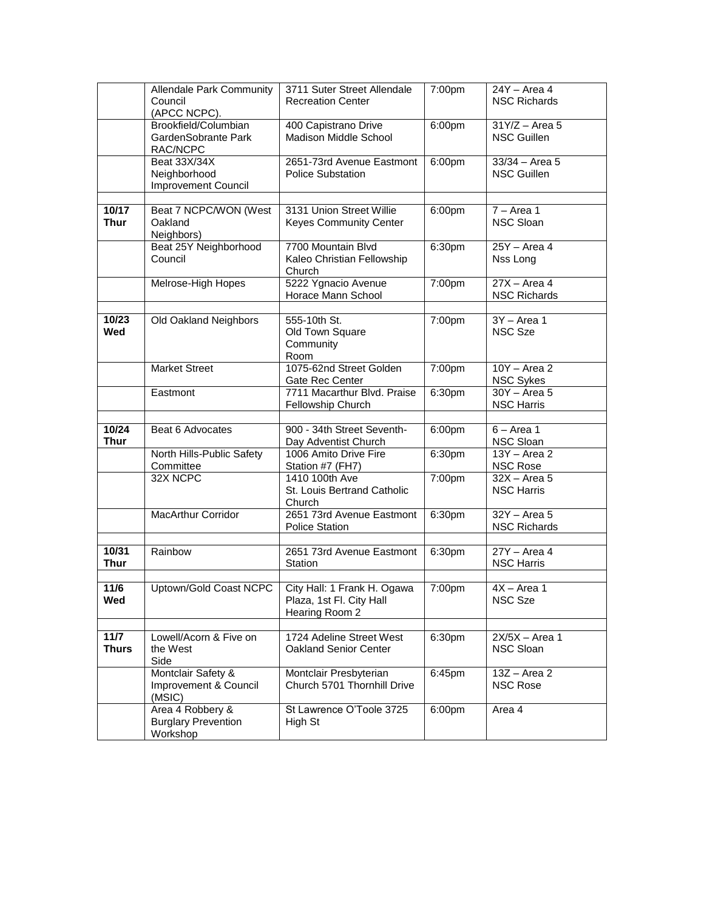|                                | <b>Allendale Park Community</b><br>Council<br>(APCC NCPC). | 3711 Suter Street Allendale<br><b>Recreation Center</b>                   | 7:00pm | 24Y - Area 4<br><b>NSC Richards</b>    |
|--------------------------------|------------------------------------------------------------|---------------------------------------------------------------------------|--------|----------------------------------------|
|                                | Brookfield/Columbian<br>GardenSobrante Park<br>RAC/NCPC    | 400 Capistrano Drive<br>Madison Middle School                             | 6:00pm | $31Y/Z - Area 5$<br><b>NSC Guillen</b> |
|                                | Beat 33X/34X<br>Neighborhood<br><b>Improvement Council</b> | 2651-73rd Avenue Eastmont<br><b>Police Substation</b>                     | 6:00pm | $33/34 - Area 5$<br><b>NSC Guillen</b> |
| 10/17<br><b>Thur</b>           | Beat 7 NCPC/WON (West<br>Oakland<br>Neighbors)             | 3131 Union Street Willie<br><b>Keyes Community Center</b>                 | 6:00pm | $7 - Area 1$<br><b>NSC Sloan</b>       |
|                                | Beat 25Y Neighborhood<br>Council                           | 7700 Mountain Blvd<br>Kaleo Christian Fellowship<br>Church                | 6:30pm | 25Y - Area 4<br>Nss Long               |
|                                | Melrose-High Hopes                                         | 5222 Ygnacio Avenue<br>Horace Mann School                                 | 7:00pm | $27X - Area 4$<br><b>NSC Richards</b>  |
| 10/23<br>Wed                   | Old Oakland Neighbors                                      | 555-10th St.<br>Old Town Square<br>Community<br>Room                      | 7:00pm | $3Y - Area 1$<br><b>NSC Sze</b>        |
|                                | <b>Market Street</b>                                       | 1075-62nd Street Golden<br>Gate Rec Center                                | 7:00pm | $10Y - Area 2$<br><b>NSC Sykes</b>     |
|                                | Eastmont                                                   | 7711 Macarthur Blvd. Praise<br>Fellowship Church                          | 6:30pm | $30Y - Area 5$<br><b>NSC Harris</b>    |
| 10/24<br><b>Thur</b>           | Beat 6 Advocates                                           | 900 - 34th Street Seventh-<br>Day Adventist Church                        | 6:00pm | $6 - Area 1$<br>NSC Sloan              |
|                                | North Hills-Public Safety<br>Committee                     | 1006 Amito Drive Fire<br>Station #7 (FH7)                                 | 6:30pm | $13Y - Area 2$<br><b>NSC Rose</b>      |
|                                | 32X NCPC                                                   | 1410 100th Ave<br>St. Louis Bertrand Catholic<br>Church                   | 7:00pm | $32X - Area 5$<br><b>NSC Harris</b>    |
|                                | <b>MacArthur Corridor</b>                                  | 2651 73rd Avenue Eastmont<br>Police Station                               | 6:30pm | $32Y - Area 5$<br><b>NSC Richards</b>  |
| 10/31<br><b>Thur</b>           | Rainbow                                                    | 2651 73rd Avenue Eastmont<br>Station                                      | 6:30pm | $27Y - Area 4$<br><b>NSC Harris</b>    |
| 11/6<br>wed                    | Uptown/Gold Coast NCPC                                     | City Hall: 1 Frank H. Ogawa<br>Plaza, 1st Fl. City Hall<br>Hearing Room 2 | 7:00pm | $4X - Area 1$<br>NSC Sze               |
| $\frac{11}{7}$<br><b>Thurs</b> | Lowell/Acorn & Five on<br>the West<br>Side                 | 1724 Adeline Street West<br>Oakland Senior Center                         | 6:30pm | $2X/5X - Area 1$<br>NSC Sloan          |
|                                | Montclair Safety &<br>Improvement & Council<br>(MSIC)      | Montclair Presbyterian<br>Church 5701 Thornhill Drive                     | 6:45pm | $13Z - Area 2$<br><b>NSC Rose</b>      |
|                                | Area 4 Robbery &<br><b>Burglary Prevention</b><br>Workshop | St Lawrence O'Toole 3725<br>High St                                       | 6:00pm | Area 4                                 |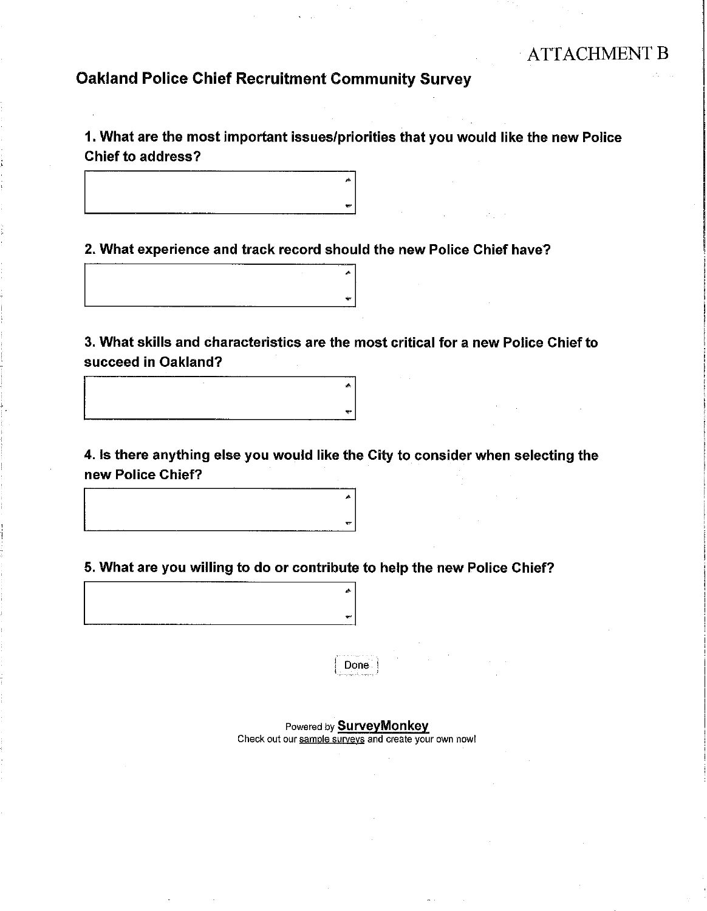# **Oakland Police Chief Recruitment Community Survey**

1. What are the most important issues/priorities that you would like the new Police **Chief to address?** 

2. What experience and track record should the new Police Chief have?



3. What skills and characteristics are the most critical for a new Police Chief to succeed in Oakland?

4. Is there anything else you would like the City to consider when selecting the new Police Chief?

5. What are you willing to do or contribute to help the new Police Chief?



Done

Powered by **Survey Monkey** Check out our sample surveys and create your own now!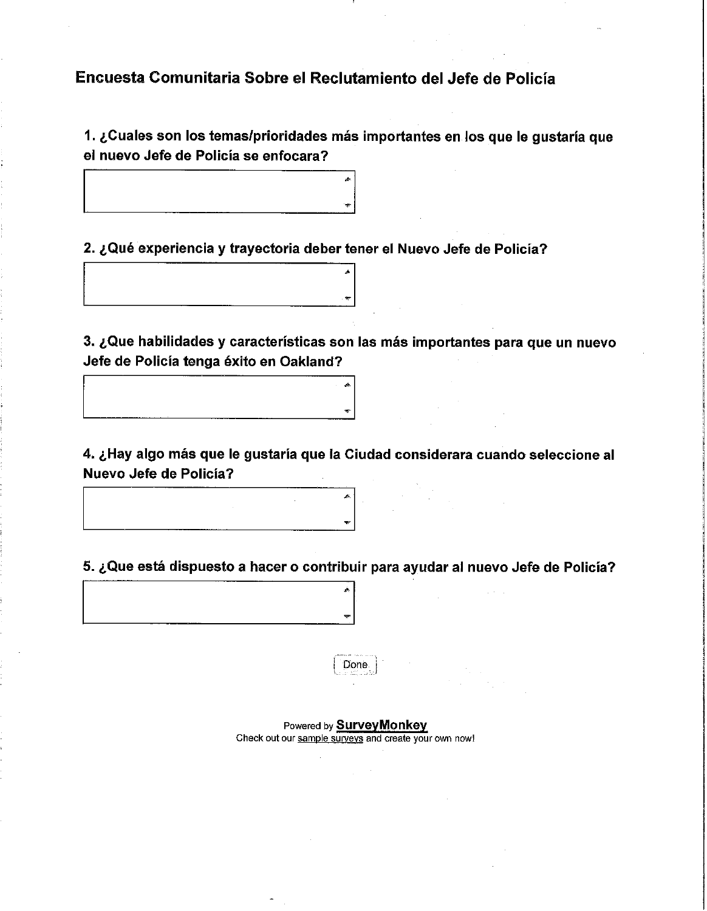# Encuesta Comunitaria Sobre el Reclutamiento del Jefe de Policía

1. ¿Cuales son los temas/prioridades más importantes en los que le gustaría que el nuevo Jefe de Policía se enfocara?

2. ¿Qué experiencia y trayectoria deber tener el Nuevo Jefe de Policía?

3. ¿Que habilidades y características son las más importantes para que un nuevo Jefe de Policía tenga éxito en Oakland?

4. ¿Hay algo más que le gustaría que la Ciudad considerara cuando seleccione al Nuevo Jefe de Policía?

5. ¿Que está dispuesto a hacer o contribuir para ayudar al nuevo Jefe de Policía?



Powered by SurveyMonkey Check out our sample surveys and create your own now!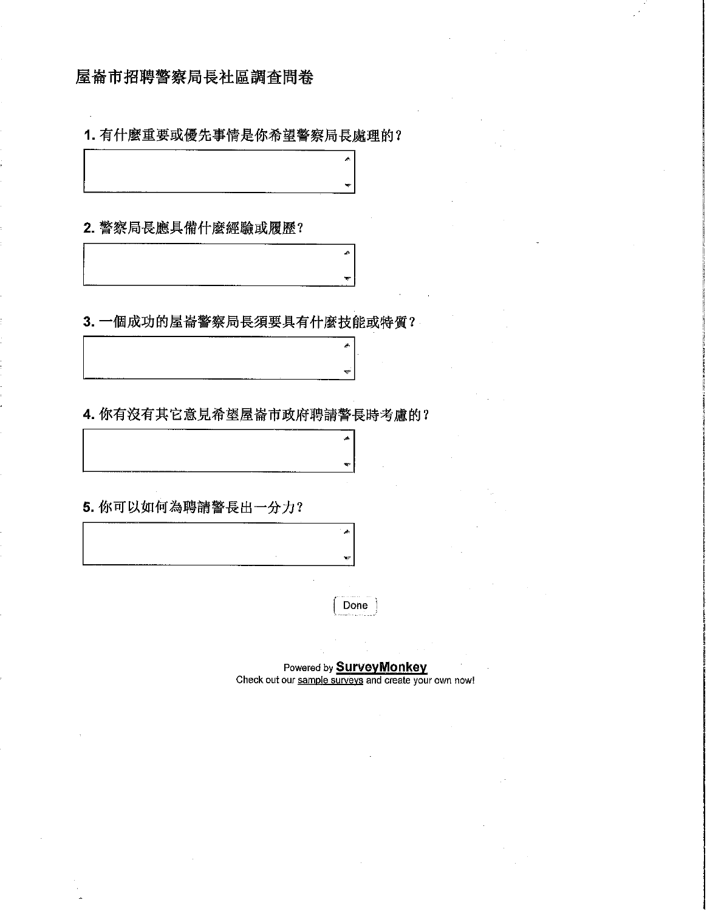## 屋崙市招聘警察局長社區調査問卷

1. 有什麼重要或優先事情是你希望警察局長處理的?

 $\boldsymbol{\star}$ 

2. 警察局長應具備什麼經驗或履歷?

3. 一個成功的屋崙警察局長須要具有什麼技能或特質?

4. 你有沒有其它意見希望屋崙市政府聘請警長時考慮的?

5. 你可以如何為聘請警長出一分力?

Done

 $\bar{\phi}$ 

g.

 $\overline{\mathbf{v}}$ 

 $\vec{a}$ 

 $\overline{\mathbf{x}}$ 

Powered by **SurveyMonkey**<br>Check out our sample surveys and create your own now!